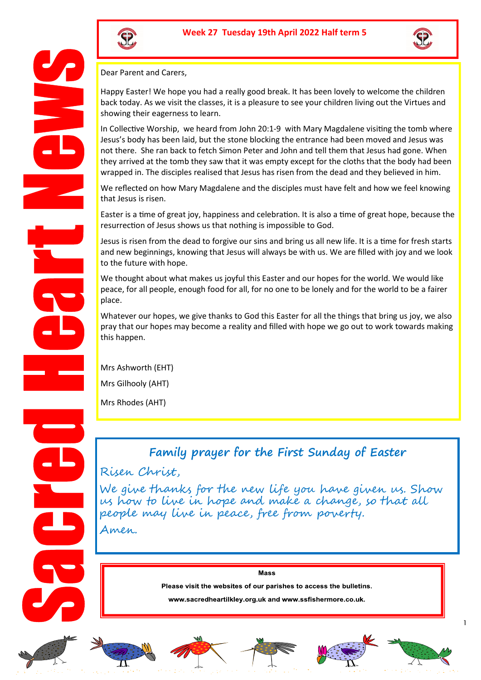



Dear Parent and Carers,

Happy Easter! We hope you had a really good break. It has been lovely to welcome the children back today. As we visit the classes, it is a pleasure to see your children living out the Virtues and showing their eagerness to learn.

In Collective Worship, we heard from John 20:1-9 with Mary Magdalene visiting the tomb where Jesus's body has been laid, but the stone blocking the entrance had been moved and Jesus was not there. She ran back to fetch Simon Peter and John and tell them that Jesus had gone. When they arrived at the tomb they saw that it was empty except for the cloths that the body had been wrapped in. The disciples realised that Jesus has risen from the dead and they believed in him.

We reflected on how Mary Magdalene and the disciples must have felt and how we feel knowing that Jesus is risen.

Easter is a time of great joy, happiness and celebration. It is also a time of great hope, because the resurrection of Jesus shows us that nothing is impossible to God.

Jesus is risen from the dead to forgive our sins and bring us all new life. It is a time for fresh starts and new beginnings, knowing that Jesus will always be with us. We are filled with joy and we look to the future with hope.

We thought about what makes us joyful this Easter and our hopes for the world. We would like peace, for all people, enough food for all, for no one to be lonely and for the world to be a fairer place.

Whatever our hopes, we give thanks to God this Easter for all the things that bring us joy, we also pray that our hopes may become a reality and filled with hope we go out to work towards making this happen.

Mrs Ashworth (EHT)

Mrs Gilhooly (AHT)

Mrs Rhodes (AHT)

## **Family prayer for the First Sunday of Easter**

## Risen Christ,

We give thanks for the new life you have given us. Show us how to live in hope and make a change, so that all people may live in peace, free from poverty.

Amen.

Mass

Please visit the websites of our parishes to access the bulletins.

www.sacredheartilkley.org.uk and www.ssfishermore.co.uk.













1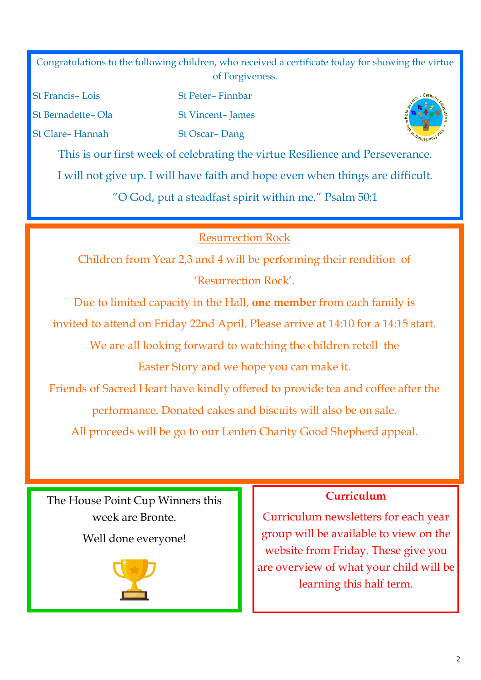Congratulations to the following children, who received a certificate today for showing the virtue of Forgiveness.

St Francis– Lois St Peter– Finnbar St Bernadette– Ola St Vincent– James St Clare– Hannah St Oscar– Dang



This is our first week of celebrating the virtue Resilience and Perseverance. I will not give up. I will have faith and hope even when things are difficult.

"O God, put a steadfast spirit within me." Psalm 50:1

# Resurrection Rock

Children from Year 2,3 and 4 will be performing their rendition of 'Resurrection Rock'.

Due to limited capacity in the Hall, **one member** from each family is

invited to attend on Friday 22nd April. Please arrive at 14:10 for a 14:15 start.

We are all looking forward to watching the children retell the Easter Story and we hope you can make it.

Friends of Sacred Heart have kindly offered to provide tea and coffee after the performance. Donated cakes and biscuits will also be on sale.

All proceeds will be go to our Lenten Charity Good Shepherd appeal.

The House Point Cup Winners this week are Bronte.

Well done everyone!



## **Curriculum**

Curriculum newsletters for each year group will be available to view on the website from Friday. These give you are overview of what your child will be learning this half term.